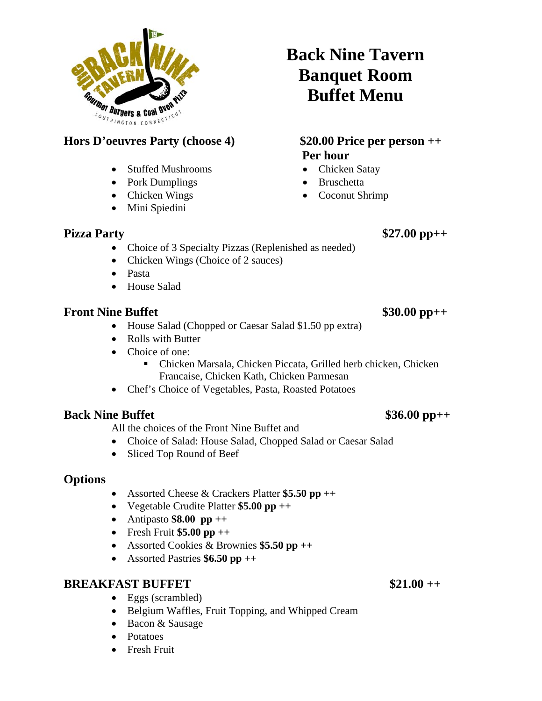

### **Hors D'oeuvres Party (choose 4) \$20.00 Price per person ++**

- Stuffed Mushrooms
- Pork Dumplings
- Chicken Wings
- Mini Spiedini

## **Back Nine Tavern Banquet Room Buffet Menu**

# **Per hour**

- Chicken Satay
- Bruschetta
- Coconut Shrimp

### **Pizza Party** \$27.00 pp++

- Choice of 3 Specialty Pizzas (Replenished as needed)
- Chicken Wings (Choice of 2 sauces)
- Pasta
- House Salad

#### **Front Nine Buffet** \$30.00 pp++

- House Salad (Chopped or Caesar Salad \$1.50 pp extra)
- Rolls with Butter
- Choice of one:
	- Chicken Marsala, Chicken Piccata, Grilled herb chicken, Chicken Francaise, Chicken Kath, Chicken Parmesan
- Chef's Choice of Vegetables, Pasta, Roasted Potatoes

#### **Back Nine Buffet** \$36.00 pp++

All the choices of the Front Nine Buffet and

- Choice of Salad: House Salad, Chopped Salad or Caesar Salad
- Sliced Top Round of Beef

#### **Options**

- Assorted Cheese & Crackers Platter **\$5.50 pp ++**
- Vegetable Crudite Platter **\$5.00 pp ++**
- Antipasto **\$8.00 pp ++**
- Fresh Fruit **\$5.00 pp ++**
- Assorted Cookies & Brownies **\$5.50 pp ++**
- Assorted Pastries **\$6.50 pp** ++

#### **BREAKFAST BUFFET** \$21.00 ++

- Eggs (scrambled)
- Belgium Waffles, Fruit Topping, and Whipped Cream
- Bacon & Sausage
- Potatoes
- Fresh Fruit